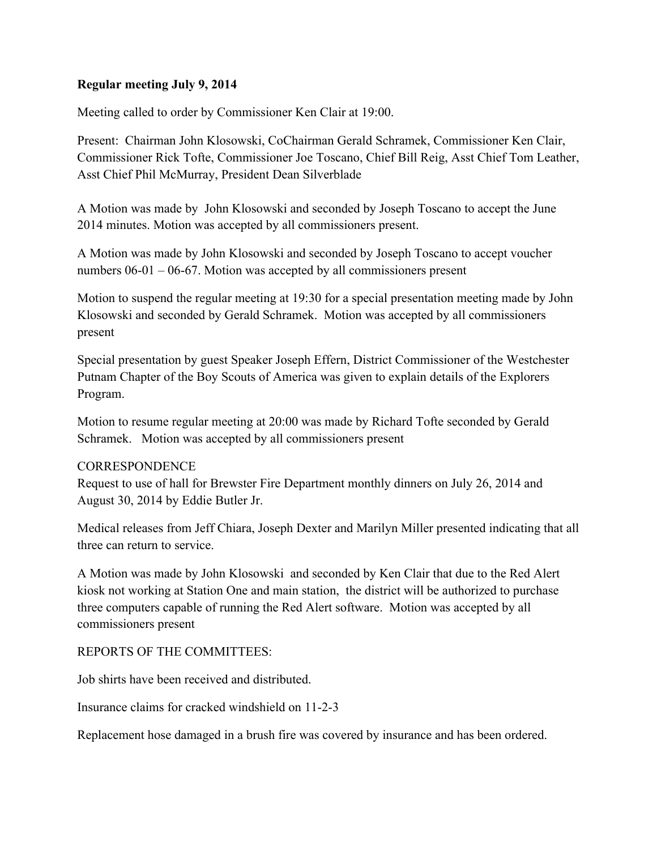## Regular meeting July 9, 2014

Meeting called to order by Commissioner Ken Clair at 19:00.

Present: Chairman John Klosowski, CoChairman Gerald Schramek, Commissioner Ken Clair, Commissioner Rick Tofte, Commissioner Joe Toscano, Chief Bill Reig, Asst Chief Tom Leather, Asst Chief Phil McMurray, President Dean Silverblade

A Motion was made by John Klosowski and seconded by Joseph Toscano to accept the June 2014 minutes. Motion was accepted by all commissioners present.

A Motion was made by John Klosowski and seconded by Joseph Toscano to accept voucher numbers 06-01 – 06-67. Motion was accepted by all commissioners present

Motion to suspend the regular meeting at 19:30 for a special presentation meeting made by John Klosowski and seconded by Gerald Schramek. Motion was accepted by all commissioners present

Special presentation by guest Speaker Joseph Effern, District Commissioner of the Westchester Putnam Chapter of the Boy Scouts of America was given to explain details of the Explorers Program.

Motion to resume regular meeting at 20:00 was made by Richard Tofte seconded by Gerald Schramek. Motion was accepted by all commissioners present

## **CORRESPONDENCE**

Request to use of hall for Brewster Fire Department monthly dinners on July 26, 2014 and August 30, 2014 by Eddie Butler Jr.

Medical releases from Jeff Chiara, Joseph Dexter and Marilyn Miller presented indicating that all three can return to service.

A Motion was made by John Klosowski and seconded by Ken Clair that due to the Red Alert kiosk not working at Station One and main station, the district will be authorized to purchase three computers capable of running the Red Alert software. Motion was accepted by all commissioners present

## REPORTS OF THE COMMITTEES:

Job shirts have been received and distributed.

Insurance claims for cracked windshield on 11-2-3

Replacement hose damaged in a brush fire was covered by insurance and has been ordered.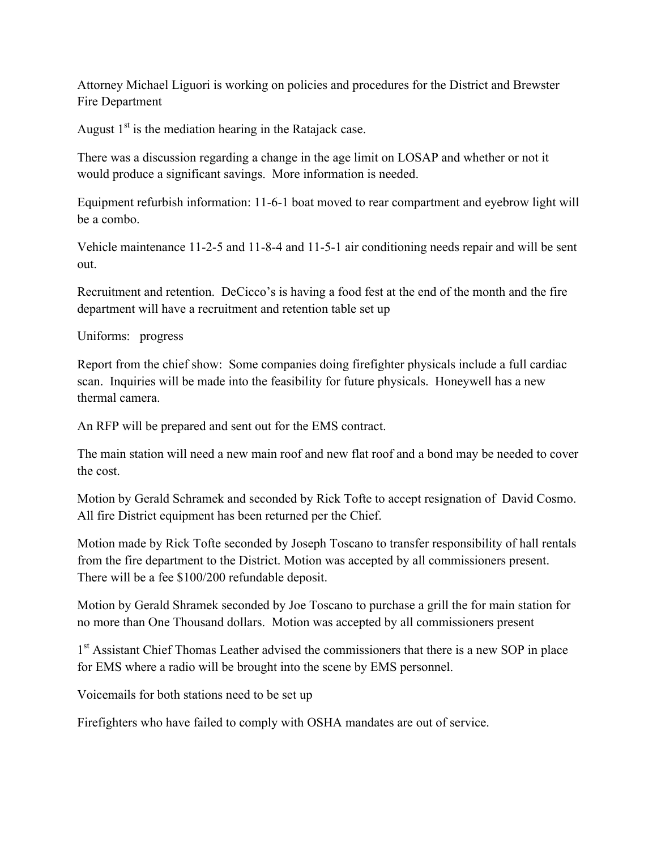Attorney Michael Liguori is working on policies and procedures for the District and Brewster Fire Department

August  $1<sup>st</sup>$  is the mediation hearing in the Ratajack case.

There was a discussion regarding a change in the age limit on LOSAP and whether or not it would produce a significant savings. More information is needed.

Equipment refurbish information: 11-6-1 boat moved to rear compartment and eyebrow light will be a combo.

Vehicle maintenance 11-2-5 and 11-8-4 and 11-5-1 air conditioning needs repair and will be sent out.

Recruitment and retention. DeCicco's is having a food fest at the end of the month and the fire department will have a recruitment and retention table set up

Uniforms: progress

Report from the chief show: Some companies doing firefighter physicals include a full cardiac scan. Inquiries will be made into the feasibility for future physicals. Honeywell has a new thermal camera.

An RFP will be prepared and sent out for the EMS contract.

The main station will need a new main roof and new flat roof and a bond may be needed to cover the cost.

Motion by Gerald Schramek and seconded by Rick Tofte to accept resignation of David Cosmo. All fire District equipment has been returned per the Chief.

Motion made by Rick Tofte seconded by Joseph Toscano to transfer responsibility of hall rentals from the fire department to the District. Motion was accepted by all commissioners present. There will be a fee \$100/200 refundable deposit.

Motion by Gerald Shramek seconded by Joe Toscano to purchase a grill the for main station for no more than One Thousand dollars. Motion was accepted by all commissioners present

1<sup>st</sup> Assistant Chief Thomas Leather advised the commissioners that there is a new SOP in place for EMS where a radio will be brought into the scene by EMS personnel.

Voicemails for both stations need to be set up

Firefighters who have failed to comply with OSHA mandates are out of service.